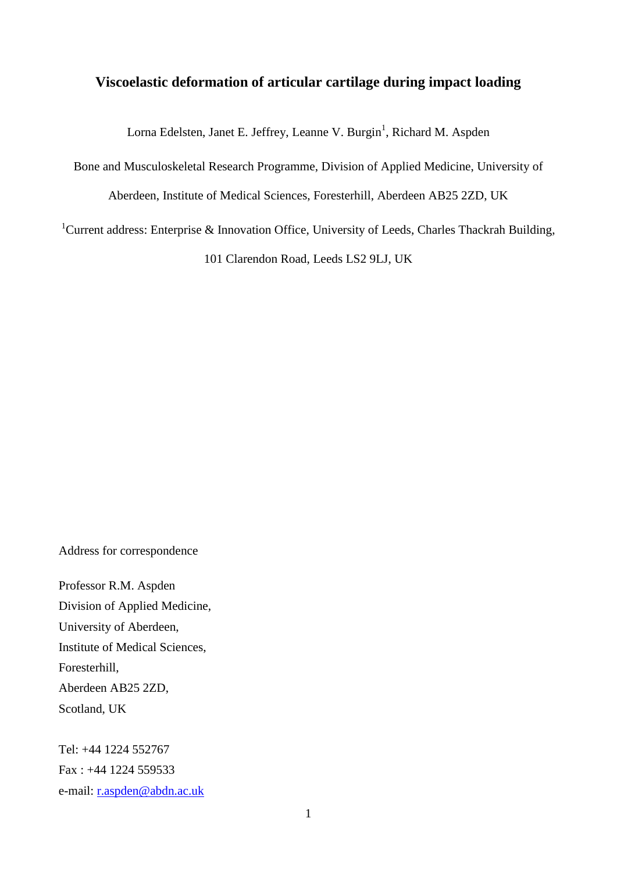# **Viscoelastic deformation of articular cartilage during impact loading**

Lorna Edelsten, Janet E. Jeffrey, Leanne V. Burgin<sup>1</sup>, Richard M. Aspden

Bone and Musculoskeletal Research Programme, Division of Applied Medicine, University of

Aberdeen, Institute of Medical Sciences, Foresterhill, Aberdeen AB25 2ZD, UK

<sup>1</sup>Current address: Enterprise & Innovation Office, University of Leeds, Charles Thackrah Building,

101 Clarendon Road, Leeds LS2 9LJ, UK

Address for correspondence

Professor R.M. Aspden Division of Applied Medicine, University of Aberdeen, Institute of Medical Sciences, Foresterhill, Aberdeen AB25 2ZD, Scotland, UK

Tel: +44 1224 552767 Fax : +44 1224 559533 e-mail: [r.aspden@abdn.ac.uk](mailto:r.aspden@abdn.ac.uk)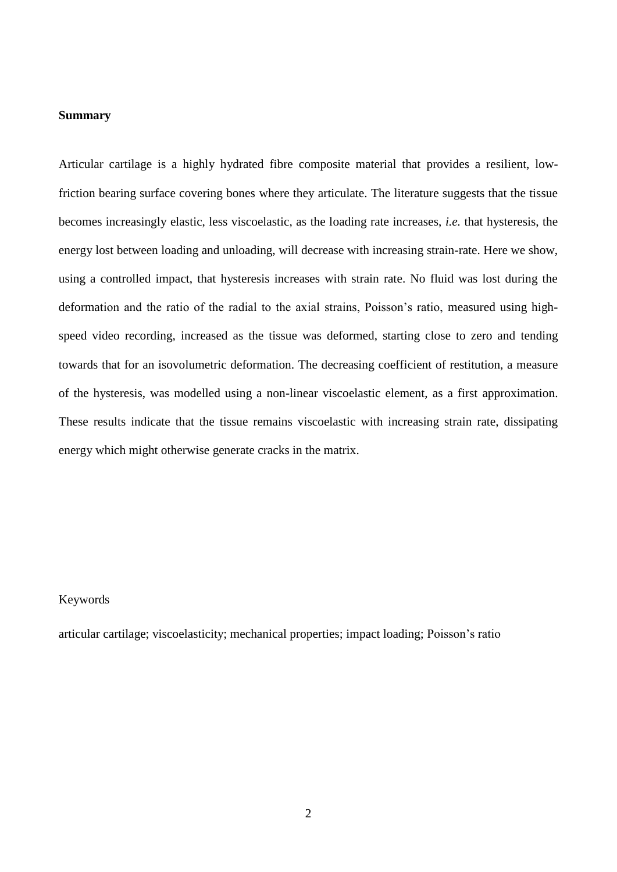#### **Summary**

Articular cartilage is a highly hydrated fibre composite material that provides a resilient, lowfriction bearing surface covering bones where they articulate. The literature suggests that the tissue becomes increasingly elastic, less viscoelastic, as the loading rate increases, *i.e.* that hysteresis, the energy lost between loading and unloading, will decrease with increasing strain-rate. Here we show, using a controlled impact, that hysteresis increases with strain rate. No fluid was lost during the deformation and the ratio of the radial to the axial strains, Poisson's ratio, measured using highspeed video recording, increased as the tissue was deformed, starting close to zero and tending towards that for an isovolumetric deformation. The decreasing coefficient of restitution, a measure of the hysteresis, was modelled using a non-linear viscoelastic element, as a first approximation. These results indicate that the tissue remains viscoelastic with increasing strain rate, dissipating energy which might otherwise generate cracks in the matrix.

#### Keywords

articular cartilage; viscoelasticity; mechanical properties; impact loading; Poisson's ratio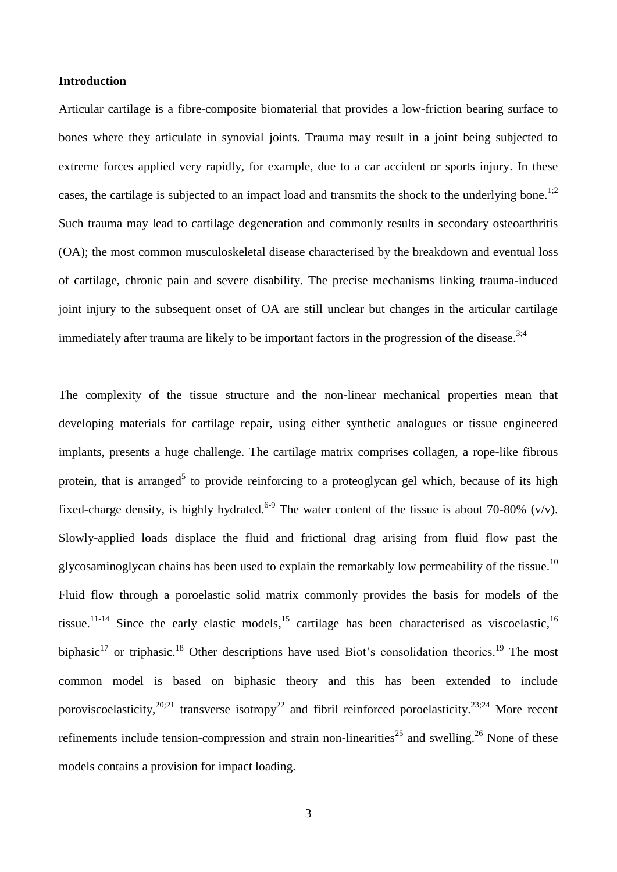## **Introduction**

Articular cartilage is a fibre-composite biomaterial that provides a low-friction bearing surface to bones where they articulate in synovial joints. Trauma may result in a joint being subjected to extreme forces applied very rapidly, for example, due to a car accident or sports injury. In these cases, the cartilage is subjected to an impact load and transmits the shock to the underlying bone.<sup>1;2</sup> Such trauma may lead to cartilage degeneration and commonly results in secondary osteoarthritis (OA); the most common musculoskeletal disease characterised by the breakdown and eventual loss of cartilage, chronic pain and severe disability. The precise mechanisms linking trauma-induced joint injury to the subsequent onset of OA are still unclear but changes in the articular cartilage immediately after trauma are likely to be important factors in the progression of the disease.<sup>3;4</sup>

The complexity of the tissue structure and the non-linear mechanical properties mean that developing materials for cartilage repair, using either synthetic analogues or tissue engineered implants, presents a huge challenge. The cartilage matrix comprises collagen, a rope-like fibrous protein, that is arranged<sup>5</sup> to provide reinforcing to a proteoglycan gel which, because of its high fixed-charge density, is highly hydrated.<sup>6-9</sup> The water content of the tissue is about 70-80% (v/v). Slowly-applied loads displace the fluid and frictional drag arising from fluid flow past the glycosaminoglycan chains has been used to explain the remarkably low permeability of the tissue.<sup>10</sup> Fluid flow through a poroelastic solid matrix commonly provides the basis for models of the tissue.<sup>11-14</sup> Since the early elastic models,<sup>15</sup> cartilage has been characterised as viscoelastic,<sup>16</sup> biphasic<sup>17</sup> or triphasic.<sup>18</sup> Other descriptions have used Biot's consolidation theories.<sup>19</sup> The most common model is based on biphasic theory and this has been extended to include poroviscoelasticity,  $20;21$  transverse isotropy<sup>22</sup> and fibril reinforced poroelasticity.<sup>23;24</sup> More recent refinements include tension-compression and strain non-linearities<sup>25</sup> and swelling.<sup>26</sup> None of these models contains a provision for impact loading.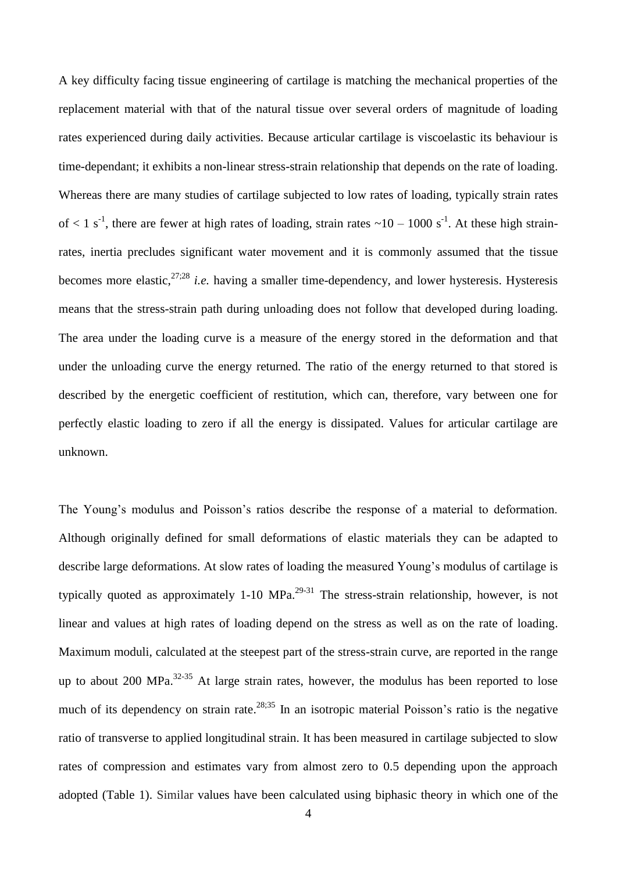A key difficulty facing tissue engineering of cartilage is matching the mechanical properties of the replacement material with that of the natural tissue over several orders of magnitude of loading rates experienced during daily activities. Because articular cartilage is viscoelastic its behaviour is time-dependant; it exhibits a non-linear stress-strain relationship that depends on the rate of loading. Whereas there are many studies of cartilage subjected to low rates of loading, typically strain rates of  $\lt 1$  s<sup>-1</sup>, there are fewer at high rates of loading, strain rates  $\lt 10 - 1000$  s<sup>-1</sup>. At these high strainrates, inertia precludes significant water movement and it is commonly assumed that the tissue becomes more elastic,<sup>27;28</sup> *i.e.* having a smaller time-dependency, and lower hysteresis. Hysteresis means that the stress-strain path during unloading does not follow that developed during loading. The area under the loading curve is a measure of the energy stored in the deformation and that under the unloading curve the energy returned. The ratio of the energy returned to that stored is described by the energetic coefficient of restitution, which can, therefore, vary between one for perfectly elastic loading to zero if all the energy is dissipated. Values for articular cartilage are unknown.

The Young's modulus and Poisson's ratios describe the response of a material to deformation. Although originally defined for small deformations of elastic materials they can be adapted to describe large deformations. At slow rates of loading the measured Young's modulus of cartilage is typically quoted as approximately 1-10 MPa.<sup>29-31</sup> The stress-strain relationship, however, is not linear and values at high rates of loading depend on the stress as well as on the rate of loading. Maximum moduli, calculated at the steepest part of the stress-strain curve, are reported in the range up to about 200 MPa. $32-35$  At large strain rates, however, the modulus has been reported to lose much of its dependency on strain rate.<sup>28,35</sup> In an isotropic material Poisson's ratio is the negative ratio of transverse to applied longitudinal strain. It has been measured in cartilage subjected to slow rates of compression and estimates vary from almost zero to 0.5 depending upon the approach adopted (Table 1). Similar values have been calculated using biphasic theory in which one of the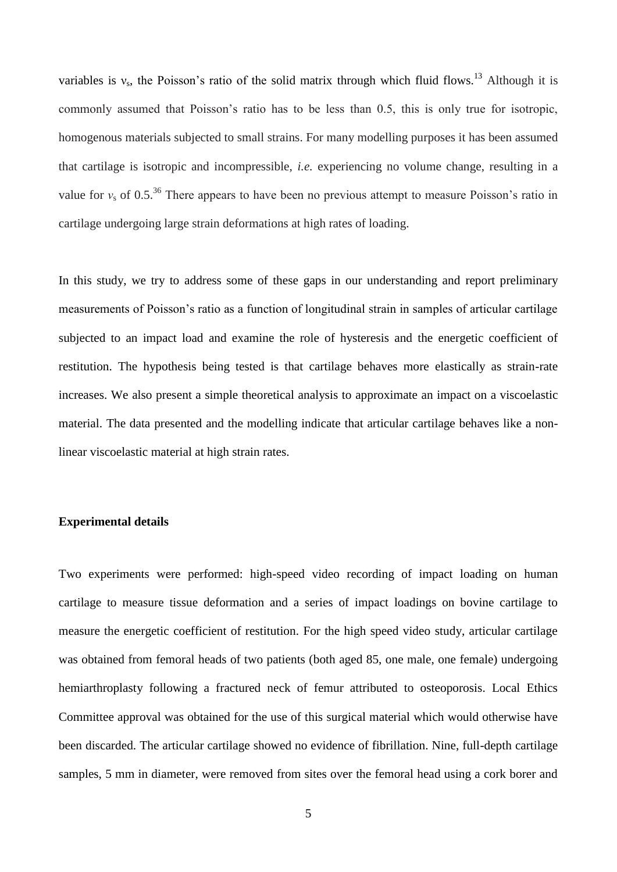variables is  $v_s$ , the Poisson's ratio of the solid matrix through which fluid flows.<sup>13</sup> Although it is commonly assumed that Poisson's ratio has to be less than 0.5, this is only true for isotropic, homogenous materials subjected to small strains. For many modelling purposes it has been assumed that cartilage is isotropic and incompressible, *i.e.* experiencing no volume change, resulting in a value for  $v_s$  of 0.5<sup>36</sup>. There appears to have been no previous attempt to measure Poisson's ratio in cartilage undergoing large strain deformations at high rates of loading.

In this study, we try to address some of these gaps in our understanding and report preliminary measurements of Poisson's ratio as a function of longitudinal strain in samples of articular cartilage subjected to an impact load and examine the role of hysteresis and the energetic coefficient of restitution. The hypothesis being tested is that cartilage behaves more elastically as strain-rate increases. We also present a simple theoretical analysis to approximate an impact on a viscoelastic material. The data presented and the modelling indicate that articular cartilage behaves like a nonlinear viscoelastic material at high strain rates.

## **Experimental details**

Two experiments were performed: high-speed video recording of impact loading on human cartilage to measure tissue deformation and a series of impact loadings on bovine cartilage to measure the energetic coefficient of restitution. For the high speed video study, articular cartilage was obtained from femoral heads of two patients (both aged 85, one male, one female) undergoing hemiarthroplasty following a fractured neck of femur attributed to osteoporosis. Local Ethics Committee approval was obtained for the use of this surgical material which would otherwise have been discarded. The articular cartilage showed no evidence of fibrillation. Nine, full-depth cartilage samples, 5 mm in diameter, were removed from sites over the femoral head using a cork borer and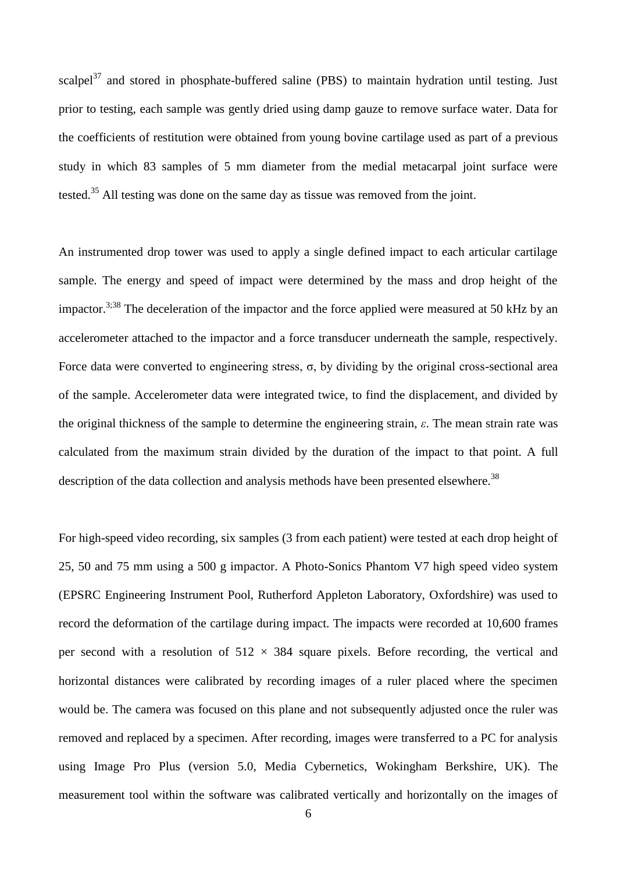scalpel $37$  and stored in phosphate-buffered saline (PBS) to maintain hydration until testing. Just prior to testing, each sample was gently dried using damp gauze to remove surface water. Data for the coefficients of restitution were obtained from young bovine cartilage used as part of a previous study in which 83 samples of 5 mm diameter from the medial metacarpal joint surface were tested.<sup>35</sup> All testing was done on the same day as tissue was removed from the joint.

An instrumented drop tower was used to apply a single defined impact to each articular cartilage sample. The energy and speed of impact were determined by the mass and drop height of the impactor.<sup>3;38</sup> The deceleration of the impactor and the force applied were measured at 50 kHz by an accelerometer attached to the impactor and a force transducer underneath the sample, respectively. Force data were converted to engineering stress,  $\sigma$ , by dividing by the original cross-sectional area of the sample. Accelerometer data were integrated twice, to find the displacement, and divided by the original thickness of the sample to determine the engineering strain, *ε*. The mean strain rate was calculated from the maximum strain divided by the duration of the impact to that point. A full description of the data collection and analysis methods have been presented elsewhere.<sup>38</sup>

For high-speed video recording, six samples (3 from each patient) were tested at each drop height of 25, 50 and 75 mm using a 500 g impactor. A Photo-Sonics Phantom V7 high speed video system (EPSRC Engineering Instrument Pool, Rutherford Appleton Laboratory, Oxfordshire) was used to record the deformation of the cartilage during impact. The impacts were recorded at 10,600 frames per second with a resolution of  $512 \times 384$  square pixels. Before recording, the vertical and horizontal distances were calibrated by recording images of a ruler placed where the specimen would be. The camera was focused on this plane and not subsequently adjusted once the ruler was removed and replaced by a specimen. After recording, images were transferred to a PC for analysis using Image Pro Plus (version 5.0, Media Cybernetics, Wokingham Berkshire, UK). The measurement tool within the software was calibrated vertically and horizontally on the images of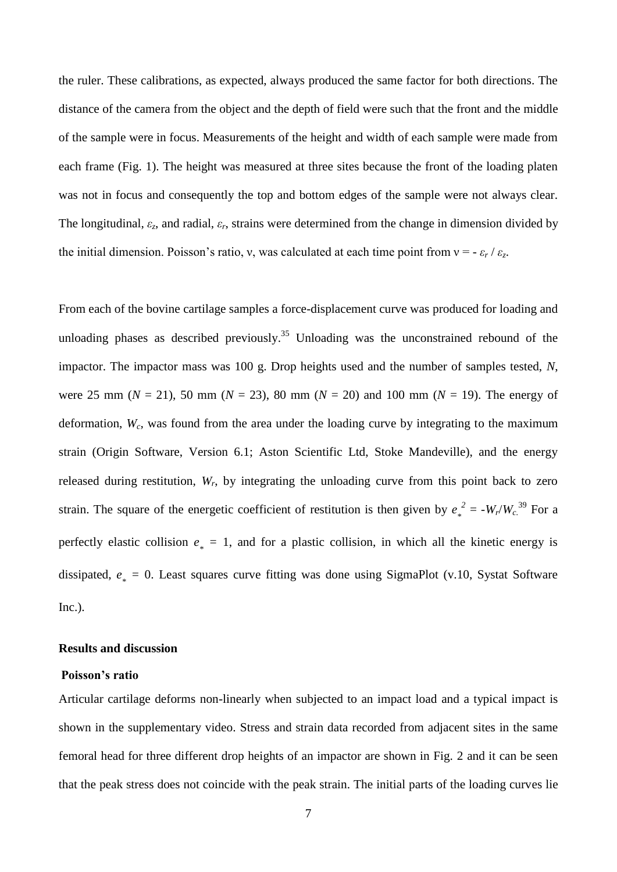the ruler. These calibrations, as expected, always produced the same factor for both directions. The distance of the camera from the object and the depth of field were such that the front and the middle of the sample were in focus. Measurements of the height and width of each sample were made from each frame (Fig. 1). The height was measured at three sites because the front of the loading platen was not in focus and consequently the top and bottom edges of the sample were not always clear. The longitudinal, *εz*, and radial, *εr*, strains were determined from the change in dimension divided by the initial dimension. Poisson's ratio, v, was calculated at each time point from  $v = -\varepsilon_r / \varepsilon_z$ .

From each of the bovine cartilage samples a force-displacement curve was produced for loading and unloading phases as described previously.<sup>35</sup> Unloading was the unconstrained rebound of the impactor. The impactor mass was 100 g. Drop heights used and the number of samples tested, *N*, were 25 mm ( $N = 21$ ), 50 mm ( $N = 23$ ), 80 mm ( $N = 20$ ) and 100 mm ( $N = 19$ ). The energy of deformation, *Wc,* was found from the area under the loading curve by integrating to the maximum strain (Origin Software, Version 6.1; Aston Scientific Ltd, Stoke Mandeville), and the energy released during restitution, *Wr*, by integrating the unloading curve from this point back to zero strain. The square of the energetic coefficient of restitution is then given by *e \**  $L^2 = -W_r/W_c^{39}$  For a perfectly elastic collision  $e_* = 1$ , and for a plastic collision, in which all the kinetic energy is dissipated,  $e_* = 0$ . Least squares curve fitting was done using SigmaPlot (v.10, Systat Software Inc.).

#### **Results and discussion**

### **Poisson's ratio**

Articular cartilage deforms non-linearly when subjected to an impact load and a typical impact is shown in the supplementary video. Stress and strain data recorded from adjacent sites in the same femoral head for three different drop heights of an impactor are shown in Fig. 2 and it can be seen that the peak stress does not coincide with the peak strain. The initial parts of the loading curves lie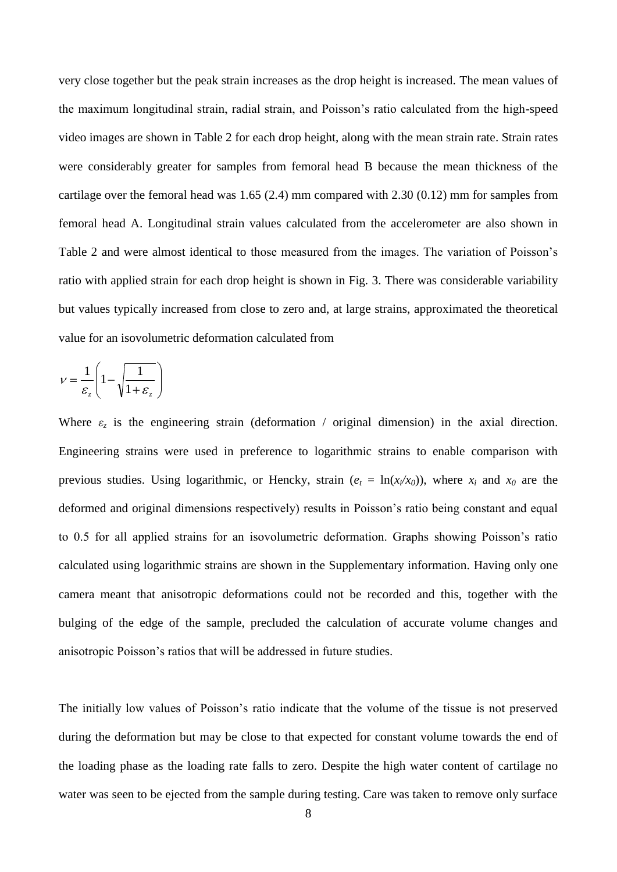very close together but the peak strain increases as the drop height is increased. The mean values of the maximum longitudinal strain, radial strain, and Poisson's ratio calculated from the high-speed video images are shown in Table 2 for each drop height, along with the mean strain rate. Strain rates were considerably greater for samples from femoral head B because the mean thickness of the cartilage over the femoral head was 1.65 (2.4) mm compared with 2.30 (0.12) mm for samples from femoral head A. Longitudinal strain values calculated from the accelerometer are also shown in Table 2 and were almost identical to those measured from the images. The variation of Poisson's ratio with applied strain for each drop height is shown in Fig. 3. There was considerable variability but values typically increased from close to zero and, at large strains, approximated the theoretical value for an isovolumetric deformation calculated from

$$
V = \frac{1}{\varepsilon_z} \left( 1 - \sqrt{\frac{1}{1 + \varepsilon_z}} \right)
$$

Where  $\varepsilon_z$  is the engineering strain (deformation / original dimension) in the axial direction. Engineering strains were used in preference to logarithmic strains to enable comparison with previous studies. Using logarithmic, or Hencky, strain ( $e_t = \ln(x_i/x_0)$ ), where  $x_i$  and  $x_0$  are the deformed and original dimensions respectively) results in Poisson's ratio being constant and equal to 0.5 for all applied strains for an isovolumetric deformation. Graphs showing Poisson's ratio calculated using logarithmic strains are shown in the Supplementary information. Having only one camera meant that anisotropic deformations could not be recorded and this, together with the bulging of the edge of the sample, precluded the calculation of accurate volume changes and anisotropic Poisson's ratios that will be addressed in future studies.

The initially low values of Poisson's ratio indicate that the volume of the tissue is not preserved during the deformation but may be close to that expected for constant volume towards the end of the loading phase as the loading rate falls to zero. Despite the high water content of cartilage no water was seen to be ejected from the sample during testing. Care was taken to remove only surface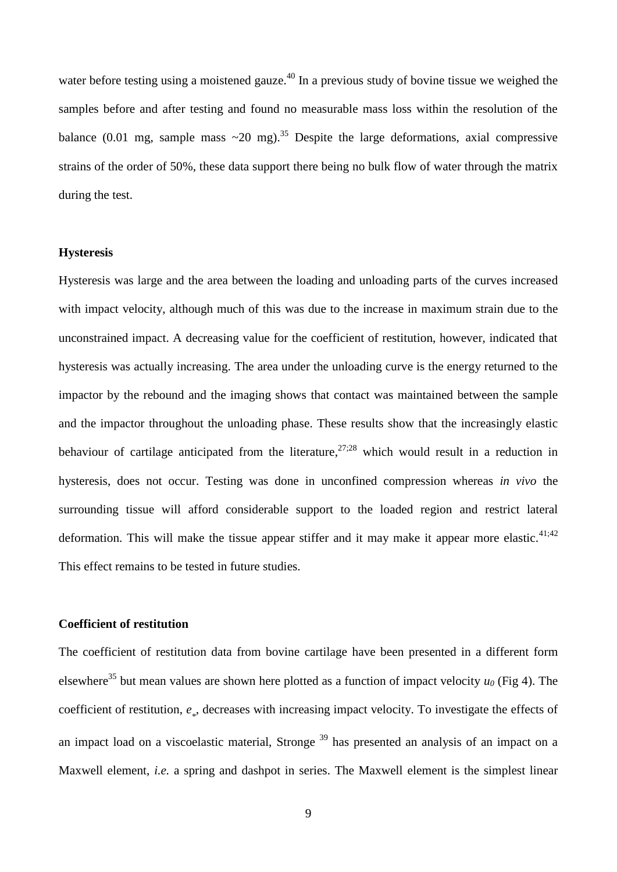water before testing using a moistened gauze.<sup>40</sup> In a previous study of bovine tissue we weighed the samples before and after testing and found no measurable mass loss within the resolution of the balance (0.01 mg, sample mass  $\sim$  20 mg).<sup>35</sup> Despite the large deformations, axial compressive strains of the order of 50%, these data support there being no bulk flow of water through the matrix during the test.

### **Hysteresis**

Hysteresis was large and the area between the loading and unloading parts of the curves increased with impact velocity, although much of this was due to the increase in maximum strain due to the unconstrained impact. A decreasing value for the coefficient of restitution, however, indicated that hysteresis was actually increasing. The area under the unloading curve is the energy returned to the impactor by the rebound and the imaging shows that contact was maintained between the sample and the impactor throughout the unloading phase. These results show that the increasingly elastic behaviour of cartilage anticipated from the literature,  $27:28$  which would result in a reduction in hysteresis, does not occur. Testing was done in unconfined compression whereas *in vivo* the surrounding tissue will afford considerable support to the loaded region and restrict lateral deformation. This will make the tissue appear stiffer and it may make it appear more elastic. $41;42$ This effect remains to be tested in future studies.

## **Coefficient of restitution**

The coefficient of restitution data from bovine cartilage have been presented in a different form elsewhere<sup>35</sup> but mean values are shown here plotted as a function of impact velocity  $u_0$  (Fig 4). The coefficient of restitution,  $e_*$ , decreases with increasing impact velocity. To investigate the effects of an impact load on a viscoelastic material, Stronge<sup>39</sup> has presented an analysis of an impact on a Maxwell element, *i.e.* a spring and dashpot in series. The Maxwell element is the simplest linear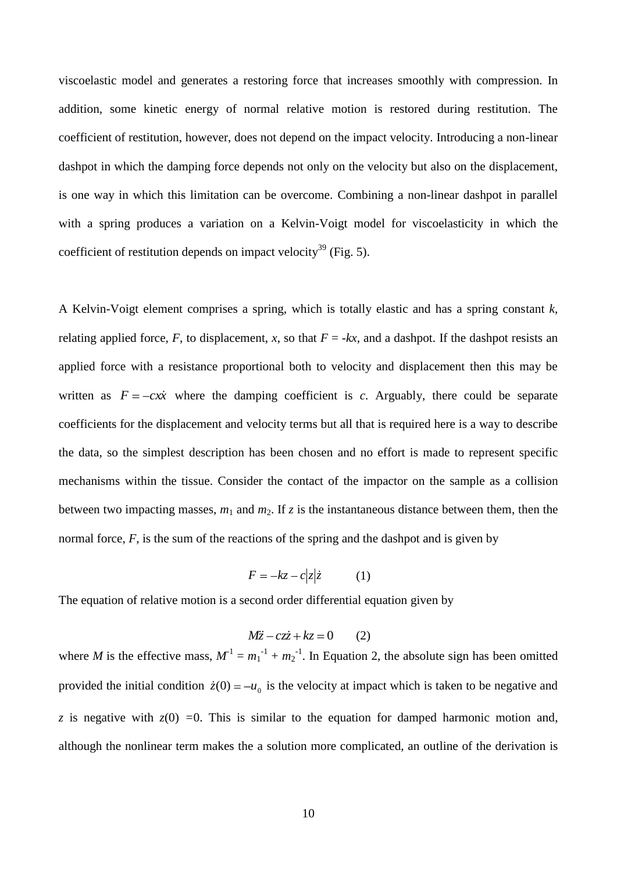viscoelastic model and generates a restoring force that increases smoothly with compression. In addition, some kinetic energy of normal relative motion is restored during restitution. The coefficient of restitution, however, does not depend on the impact velocity. Introducing a non-linear dashpot in which the damping force depends not only on the velocity but also on the displacement, is one way in which this limitation can be overcome. Combining a non-linear dashpot in parallel with a spring produces a variation on a Kelvin-Voigt model for viscoelasticity in which the coefficient of restitution depends on impact velocity<sup>39</sup> (Fig. 5).

A Kelvin-Voigt element comprises a spring, which is totally elastic and has a spring constant *k*, relating applied force, *F*, to displacement, *x*, so that  $F = -kx$ , and a dashpot. If the dashpot resists an applied force with a resistance proportional both to velocity and displacement then this may be written as  $F = -c\dot{x}$  where the damping coefficient is *c*. Arguably, there could be separate coefficients for the displacement and velocity terms but all that is required here is a way to describe the data, so the simplest description has been chosen and no effort is made to represent specific mechanisms within the tissue. Consider the contact of the impactor on the sample as a collision between two impacting masses,  $m_1$  and  $m_2$ . If  $z$  is the instantaneous distance between them, then the normal force, *F*, is the sum of the reactions of the spring and the dashpot and is given by

$$
F = -kz - c|z|\dot{z} \tag{1}
$$

The equation of relative motion is a second order differential equation given by

$$
M\ddot{z} - cz\dot{z} + kz = 0 \qquad (2)
$$

where *M* is the effective mass,  $M^{-1} = m_1^{-1} + m_2^{-1}$ . In Equation 2, the absolute sign has been omitted provided the initial condition  $\dot{z}(0) = -u_0$  is the velocity at impact which is taken to be negative and *z* is negative with  $z(0) = 0$ . This is similar to the equation for damped harmonic motion and, although the nonlinear term makes the a solution more complicated, an outline of the derivation is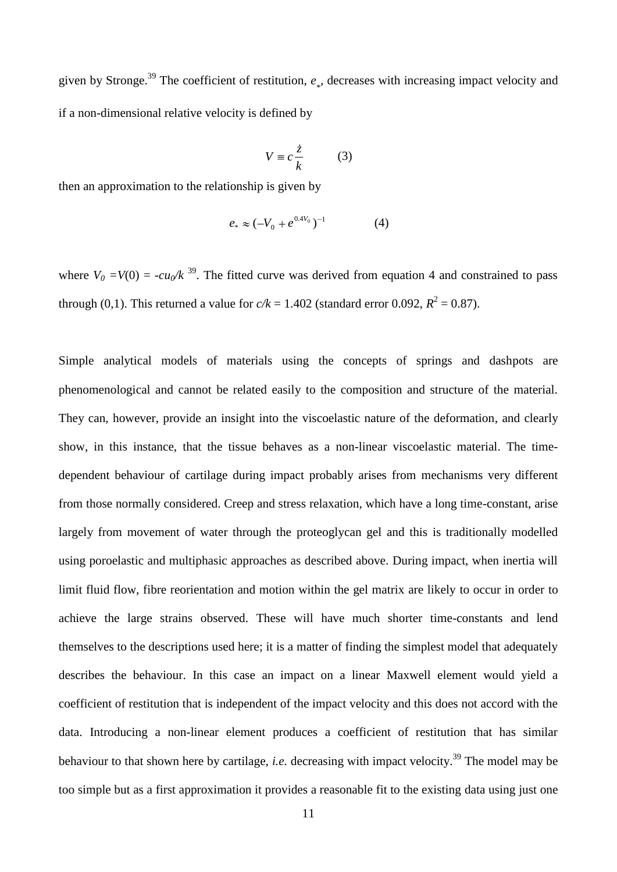given by Stronge.<sup>39</sup> The coefficient of restitution,  $e_*$ , decreases with increasing impact velocity and if a non-dimensional relative velocity is defined by

$$
V \equiv c \frac{\dot{z}}{k} \tag{3}
$$

then an approximation to the relationship is given by

$$
e_* \approx (-V_0 + e^{0.4V_0})^{-1}
$$
 (4)

where  $V_0 = V(0) = -cu_0/k^{39}$ . The fitted curve was derived from equation 4 and constrained to pass through (0,1). This returned a value for  $c/k = 1.402$  (standard error 0.092,  $R^2 = 0.87$ ).

Simple analytical models of materials using the concepts of springs and dashpots are phenomenological and cannot be related easily to the composition and structure of the material. They can, however, provide an insight into the viscoelastic nature of the deformation, and clearly show, in this instance, that the tissue behaves as a non-linear viscoelastic material. The timedependent behaviour of cartilage during impact probably arises from mechanisms very different from those normally considered. Creep and stress relaxation, which have a long time-constant, arise largely from movement of water through the proteoglycan gel and this is traditionally modelled using poroelastic and multiphasic approaches as described above. During impact, when inertia will limit fluid flow, fibre reorientation and motion within the gel matrix are likely to occur in order to achieve the large strains observed. These will have much shorter time-constants and lend themselves to the descriptions used here; it is a matter of finding the simplest model that adequately describes the behaviour. In this case an impact on a linear Maxwell element would yield a coefficient of restitution that is independent of the impact velocity and this does not accord with the data. Introducing a non-linear element produces a coefficient of restitution that has similar behaviour to that shown here by cartilage, *i.e.* decreasing with impact velocity. <sup>39</sup> The model may be too simple but as a first approximation it provides a reasonable fit to the existing data using just one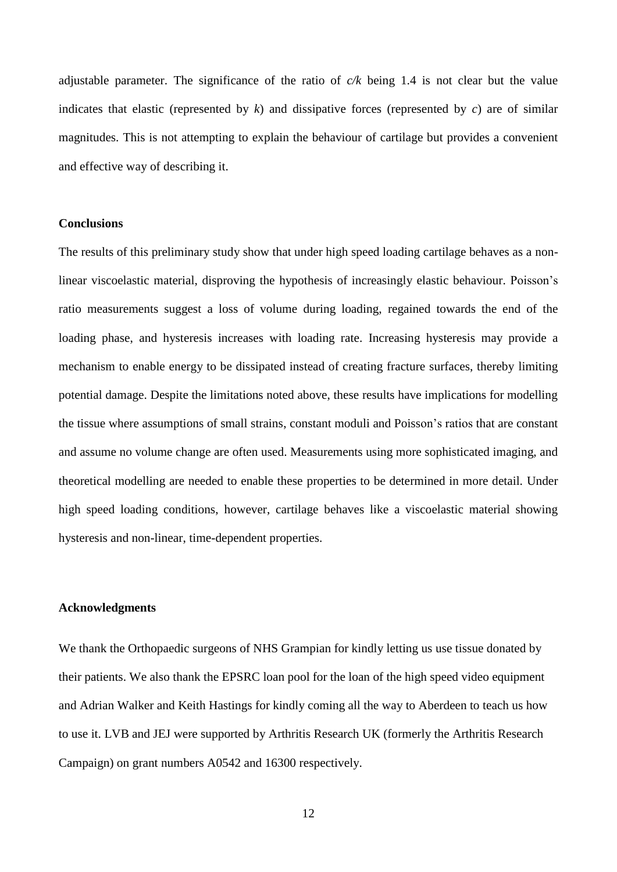adjustable parameter. The significance of the ratio of *c/k* being 1.4 is not clear but the value indicates that elastic (represented by  $k$ ) and dissipative forces (represented by  $c$ ) are of similar magnitudes. This is not attempting to explain the behaviour of cartilage but provides a convenient and effective way of describing it.

## **Conclusions**

The results of this preliminary study show that under high speed loading cartilage behaves as a nonlinear viscoelastic material, disproving the hypothesis of increasingly elastic behaviour. Poisson's ratio measurements suggest a loss of volume during loading, regained towards the end of the loading phase, and hysteresis increases with loading rate. Increasing hysteresis may provide a mechanism to enable energy to be dissipated instead of creating fracture surfaces, thereby limiting potential damage. Despite the limitations noted above, these results have implications for modelling the tissue where assumptions of small strains, constant moduli and Poisson's ratios that are constant and assume no volume change are often used. Measurements using more sophisticated imaging, and theoretical modelling are needed to enable these properties to be determined in more detail. Under high speed loading conditions, however, cartilage behaves like a viscoelastic material showing hysteresis and non-linear, time-dependent properties.

### **Acknowledgments**

We thank the Orthopaedic surgeons of NHS Grampian for kindly letting us use tissue donated by their patients. We also thank the EPSRC loan pool for the loan of the high speed video equipment and Adrian Walker and Keith Hastings for kindly coming all the way to Aberdeen to teach us how to use it. LVB and JEJ were supported by Arthritis Research UK (formerly the Arthritis Research Campaign) on grant numbers A0542 and 16300 respectively.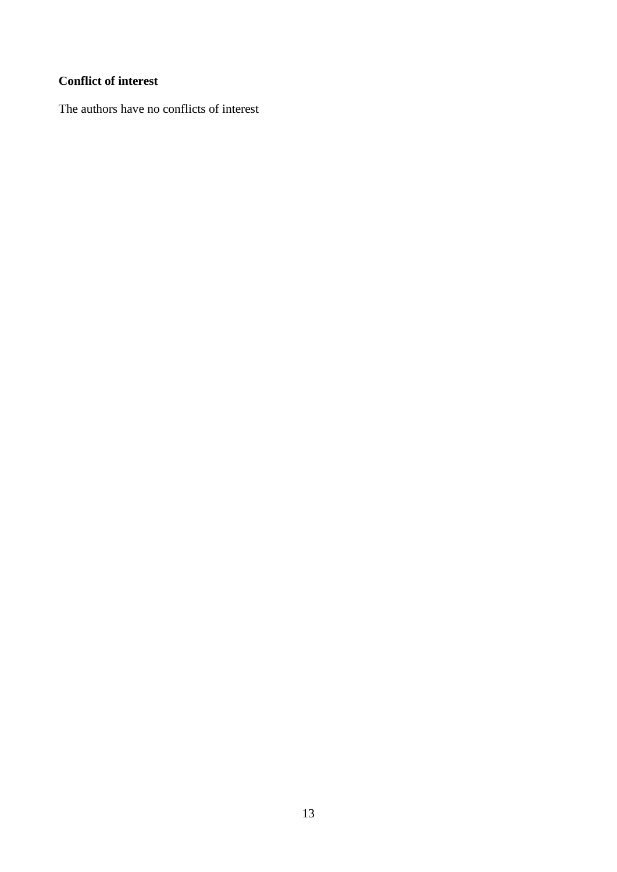# **Conflict of interest**

The authors have no conflicts of interest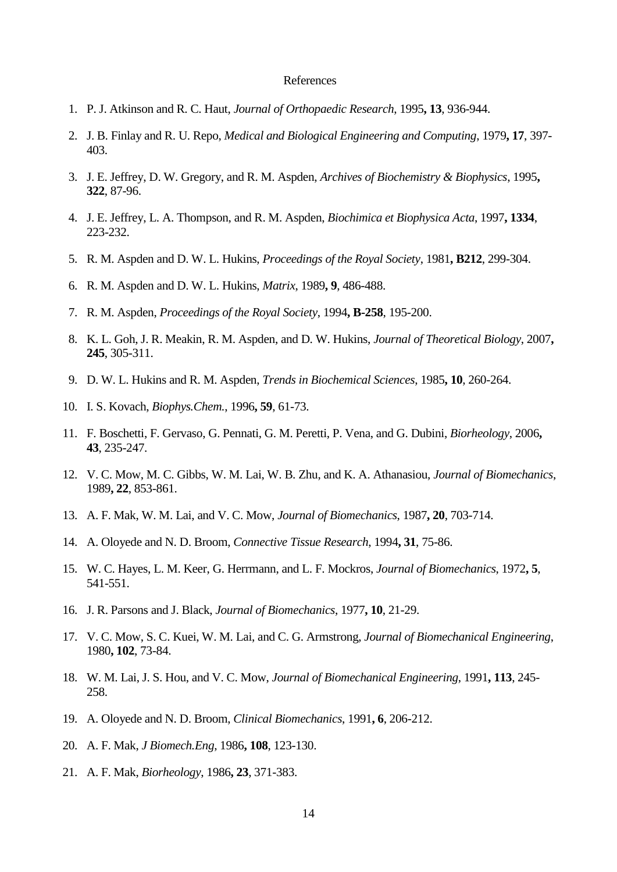#### References

- 1. P. J. Atkinson and R. C. Haut, *Journal of Orthopaedic Research*, 1995**, 13**, 936-944.
- 2. J. B. Finlay and R. U. Repo, *Medical and Biological Engineering and Computing*, 1979**, 17**, 397- 403.
- 3. J. E. Jeffrey, D. W. Gregory, and R. M. Aspden, *Archives of Biochemistry & Biophysics*, 1995**, 322**, 87-96.
- 4. J. E. Jeffrey, L. A. Thompson, and R. M. Aspden, *Biochimica et Biophysica Acta*, 1997**, 1334**, 223-232.
- 5. R. M. Aspden and D. W. L. Hukins, *Proceedings of the Royal Society*, 1981**, B212**, 299-304.
- 6. R. M. Aspden and D. W. L. Hukins, *Matrix*, 1989**, 9**, 486-488.
- 7. R. M. Aspden, *Proceedings of the Royal Society*, 1994**, B-258**, 195-200.
- 8. K. L. Goh, J. R. Meakin, R. M. Aspden, and D. W. Hukins, *Journal of Theoretical Biology*, 2007**, 245**, 305-311.
- 9. D. W. L. Hukins and R. M. Aspden, *Trends in Biochemical Sciences*, 1985**, 10**, 260-264.
- 10. I. S. Kovach, *Biophys.Chem.*, 1996**, 59**, 61-73.
- 11. F. Boschetti, F. Gervaso, G. Pennati, G. M. Peretti, P. Vena, and G. Dubini, *Biorheology*, 2006**, 43**, 235-247.
- 12. V. C. Mow, M. C. Gibbs, W. M. Lai, W. B. Zhu, and K. A. Athanasiou, *Journal of Biomechanics*, 1989**, 22**, 853-861.
- 13. A. F. Mak, W. M. Lai, and V. C. Mow, *Journal of Biomechanics*, 1987**, 20**, 703-714.
- 14. A. Oloyede and N. D. Broom, *Connective Tissue Research*, 1994**, 31**, 75-86.
- 15. W. C. Hayes, L. M. Keer, G. Herrmann, and L. F. Mockros, *Journal of Biomechanics*, 1972**, 5**, 541-551.
- 16. J. R. Parsons and J. Black, *Journal of Biomechanics*, 1977**, 10**, 21-29.
- 17. V. C. Mow, S. C. Kuei, W. M. Lai, and C. G. Armstrong, *Journal of Biomechanical Engineering*, 1980**, 102**, 73-84.
- 18. W. M. Lai, J. S. Hou, and V. C. Mow, *Journal of Biomechanical Engineering*, 1991**, 113**, 245- 258.
- 19. A. Oloyede and N. D. Broom, *Clinical Biomechanics*, 1991**, 6**, 206-212.
- 20. A. F. Mak, *J Biomech.Eng*, 1986**, 108**, 123-130.
- 21. A. F. Mak, *Biorheology*, 1986**, 23**, 371-383.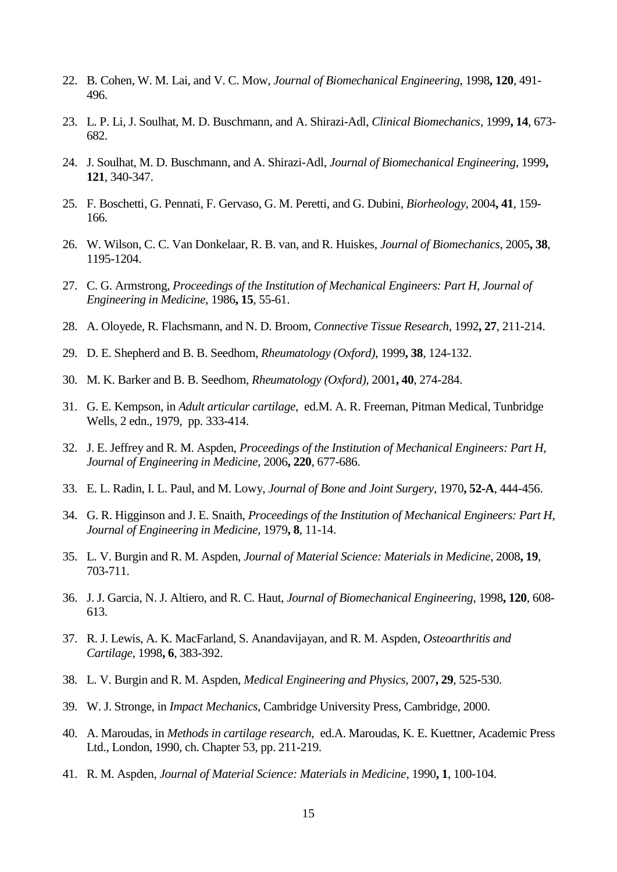- 22. B. Cohen, W. M. Lai, and V. C. Mow, *Journal of Biomechanical Engineering*, 1998**, 120**, 491- 496.
- 23. L. P. Li, J. Soulhat, M. D. Buschmann, and A. Shirazi-Adl, *Clinical Biomechanics*, 1999**, 14**, 673- 682.
- 24. J. Soulhat, M. D. Buschmann, and A. Shirazi-Adl, *Journal of Biomechanical Engineering*, 1999**, 121**, 340-347.
- 25. F. Boschetti, G. Pennati, F. Gervaso, G. M. Peretti, and G. Dubini, *Biorheology*, 2004**, 41**, 159- 166.
- 26. W. Wilson, C. C. Van Donkelaar, R. B. van, and R. Huiskes, *Journal of Biomechanics*, 2005**, 38**, 1195-1204.
- 27. C. G. Armstrong, *Proceedings of the Institution of Mechanical Engineers: Part H, Journal of Engineering in Medicine*, 1986**, 15**, 55-61.
- 28. A. Oloyede, R. Flachsmann, and N. D. Broom, *Connective Tissue Research*, 1992**, 27**, 211-214.
- 29. D. E. Shepherd and B. B. Seedhom, *Rheumatology (Oxford)*, 1999**, 38**, 124-132.
- 30. M. K. Barker and B. B. Seedhom, *Rheumatology (Oxford)*, 2001**, 40**, 274-284.
- 31. G. E. Kempson, in *Adult articular cartilage*, ed.M. A. R. Freeman, Pitman Medical, Tunbridge Wells, 2 edn., 1979, pp. 333-414.
- 32. J. E. Jeffrey and R. M. Aspden, *Proceedings of the Institution of Mechanical Engineers: Part H, Journal of Engineering in Medicine*, 2006**, 220**, 677-686.
- 33. E. L. Radin, I. L. Paul, and M. Lowy, *Journal of Bone and Joint Surgery*, 1970**, 52-A**, 444-456.
- 34. G. R. Higginson and J. E. Snaith, *Proceedings of the Institution of Mechanical Engineers: Part H, Journal of Engineering in Medicine*, 1979**, 8**, 11-14.
- 35. L. V. Burgin and R. M. Aspden, *Journal of Material Science: Materials in Medicine*, 2008**, 19**, 703-711.
- 36. J. J. Garcia, N. J. Altiero, and R. C. Haut, *Journal of Biomechanical Engineering*, 1998**, 120**, 608- 613.
- 37. R. J. Lewis, A. K. MacFarland, S. Anandavijayan, and R. M. Aspden, *Osteoarthritis and Cartilage*, 1998**, 6**, 383-392.
- 38. L. V. Burgin and R. M. Aspden, *Medical Engineering and Physics*, 2007**, 29**, 525-530.
- 39. W. J. Stronge, in *Impact Mechanics*, Cambridge University Press, Cambridge, 2000.
- 40. A. Maroudas, in *Methods in cartilage research*, ed.A. Maroudas, K. E. Kuettner, Academic Press Ltd., London, 1990, ch. Chapter 53, pp. 211-219.
- 41. R. M. Aspden, *Journal of Material Science: Materials in Medicine*, 1990**, 1**, 100-104.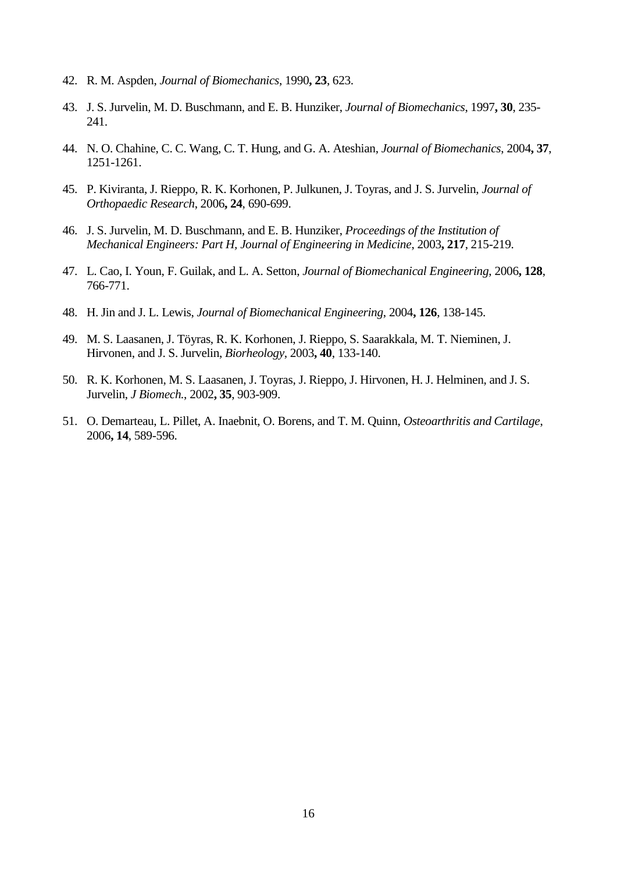- 42. R. M. Aspden, *Journal of Biomechanics*, 1990**, 23**, 623.
- 43. J. S. Jurvelin, M. D. Buschmann, and E. B. Hunziker, *Journal of Biomechanics*, 1997**, 30**, 235- 241.
- 44. N. O. Chahine, C. C. Wang, C. T. Hung, and G. A. Ateshian, *Journal of Biomechanics*, 2004**, 37**, 1251-1261.
- 45. P. Kiviranta, J. Rieppo, R. K. Korhonen, P. Julkunen, J. Toyras, and J. S. Jurvelin, *Journal of Orthopaedic Research*, 2006**, 24**, 690-699.
- 46. J. S. Jurvelin, M. D. Buschmann, and E. B. Hunziker, *Proceedings of the Institution of Mechanical Engineers: Part H, Journal of Engineering in Medicine*, 2003**, 217**, 215-219.
- 47. L. Cao, I. Youn, F. Guilak, and L. A. Setton, *Journal of Biomechanical Engineering*, 2006**, 128**, 766-771.
- 48. H. Jin and J. L. Lewis, *Journal of Biomechanical Engineering*, 2004**, 126**, 138-145.
- 49. M. S. Laasanen, J. Töyras, R. K. Korhonen, J. Rieppo, S. Saarakkala, M. T. Nieminen, J. Hirvonen, and J. S. Jurvelin, *Biorheology*, 2003**, 40**, 133-140.
- 50. R. K. Korhonen, M. S. Laasanen, J. Toyras, J. Rieppo, J. Hirvonen, H. J. Helminen, and J. S. Jurvelin, *J Biomech.*, 2002**, 35**, 903-909.
- 51. O. Demarteau, L. Pillet, A. Inaebnit, O. Borens, and T. M. Quinn, *Osteoarthritis and Cartilage*, 2006**, 14**, 589-596.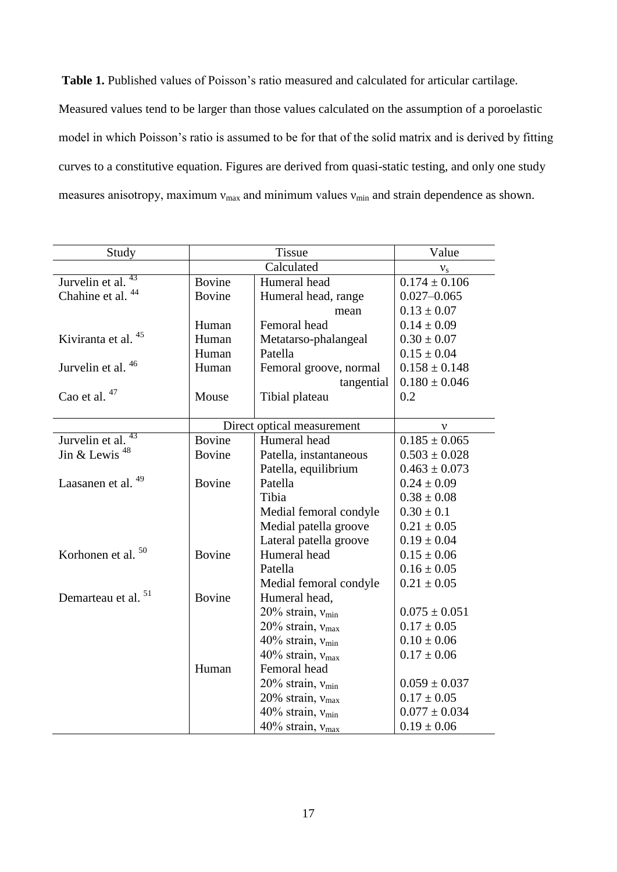**Table 1.** Published values of Poisson's ratio measured and calculated for articular cartilage. Measured values tend to be larger than those values calculated on the assumption of a poroelastic model in which Poisson's ratio is assumed to be for that of the solid matrix and is derived by fitting curves to a constitutive equation. Figures are derived from quasi-static testing, and only one study measures anisotropy, maximum  $v_{\text{max}}$  and minimum values  $v_{\text{min}}$  and strain dependence as shown.

| Study                          |                            | Value                        |                   |  |
|--------------------------------|----------------------------|------------------------------|-------------------|--|
|                                | Calculated                 |                              | $v_{\rm s}$       |  |
| 43<br>Jurvelin et al.          | <b>Bovine</b>              | Humeral head                 | $0.174 \pm 0.106$ |  |
| Chahine et al. <sup>44</sup>   | <b>Bovine</b>              | Humeral head, range          | $0.027 - 0.065$   |  |
|                                |                            | mean                         | $0.13 \pm 0.07$   |  |
|                                | Human                      | Femoral head                 | $0.14 \pm 0.09$   |  |
| Kiviranta et al. <sup>45</sup> | Human                      | Metatarso-phalangeal         | $0.30 \pm 0.07$   |  |
|                                | Patella<br>Human           |                              | $0.15 \pm 0.04$   |  |
| Jurvelin et al. 46             | Human                      | Femoral groove, normal       | $0.158 \pm 0.148$ |  |
|                                |                            | tangential                   | $0.180 \pm 0.046$ |  |
| Cao et al. 47                  | Mouse                      | Tibial plateau               | 0.2               |  |
|                                |                            |                              |                   |  |
|                                | Direct optical measurement | v                            |                   |  |
| Jurvelin et al. <sup>43</sup>  | Bovine                     | Humeral head                 | $0.185 \pm 0.065$ |  |
| Jin & Lewis <sup>48</sup>      | <b>Bovine</b>              | Patella, instantaneous       | $0.503 \pm 0.028$ |  |
|                                |                            | Patella, equilibrium         | $0.463 \pm 0.073$ |  |
| Laasanen et al. <sup>49</sup>  | Bovine                     | Patella                      | $0.24 \pm 0.09$   |  |
|                                |                            | Tibia                        | $0.38 \pm 0.08$   |  |
|                                |                            | Medial femoral condyle       | $0.30 \pm 0.1$    |  |
|                                |                            | Medial patella groove        | $0.21 \pm 0.05$   |  |
|                                |                            | Lateral patella groove       | $0.19 \pm 0.04$   |  |
| Korhonen et al. <sup>50</sup>  | Bovine                     | Humeral head                 | $0.15 \pm 0.06$   |  |
|                                |                            | Patella                      | $0.16 \pm 0.05$   |  |
|                                |                            | Medial femoral condyle       | $0.21 \pm 0.05$   |  |
| 51<br>Demarteau et al.         | <b>Bovine</b>              | Humeral head,                |                   |  |
|                                |                            | 20% strain, $v_{\text{min}}$ | $0.075 \pm 0.051$ |  |
|                                |                            | 20% strain, $v_{\text{max}}$ | $0.17 \pm 0.05$   |  |
|                                |                            | 40% strain, $v_{\text{min}}$ | $0.10 \pm 0.06$   |  |
|                                |                            | 40% strain, $v_{\text{max}}$ | $0.17 \pm 0.06$   |  |
|                                | Human                      | Femoral head                 |                   |  |
|                                |                            | 20% strain, $v_{\text{min}}$ | $0.059 \pm 0.037$ |  |
|                                |                            | 20% strain, $v_{\text{max}}$ | $0.17 \pm 0.05$   |  |
|                                |                            | 40% strain, $v_{\text{min}}$ | $0.077 \pm 0.034$ |  |
|                                |                            | 40% strain, v <sub>max</sub> | $0.19 \pm 0.06$   |  |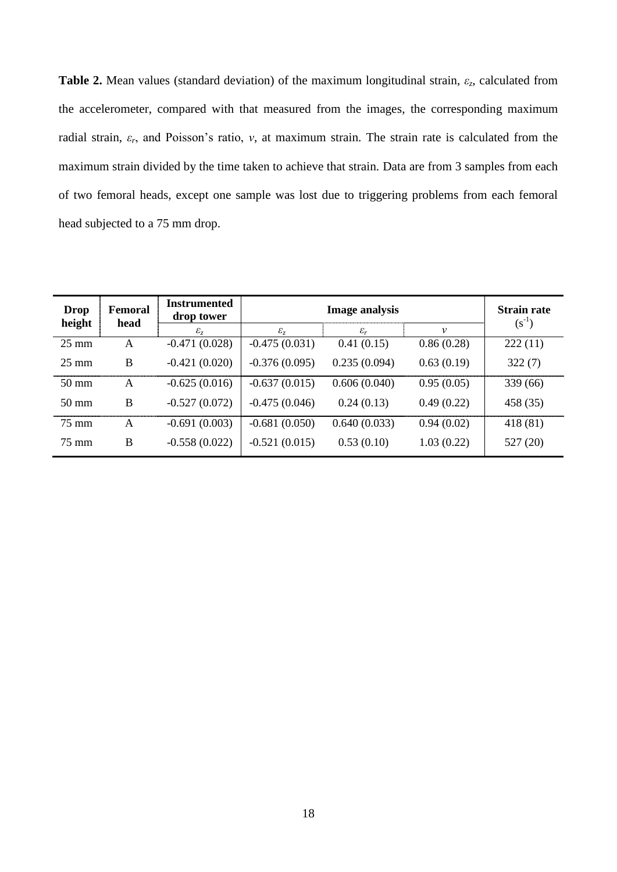**Table 2.** Mean values (standard deviation) of the maximum longitudinal strain, *εz*, calculated from the accelerometer, compared with that measured from the images, the corresponding maximum radial strain, *εr*, and Poisson's ratio, *ν*, at maximum strain. The strain rate is calculated from the maximum strain divided by the time taken to achieve that strain. Data are from 3 samples from each of two femoral heads, except one sample was lost due to triggering problems from each femoral head subjected to a 75 mm drop.

| Drop<br>height  | Femoral<br>head | <b>Instrumented</b><br>drop tower | <b>Image analysis</b> |                 | <b>Strain rate</b><br>$(s^{-1})$ |          |
|-----------------|-----------------|-----------------------------------|-----------------------|-----------------|----------------------------------|----------|
|                 |                 | $\varepsilon_z$                   | $\varepsilon_z$       | $\varepsilon_r$ | ν                                |          |
| $25 \text{ mm}$ | A               | $-0.471(0.028)$                   | $-0.475(0.031)$       | 0.41(0.15)      | 0.86(0.28)                       | 222(11)  |
| $25 \text{ mm}$ | B               | $-0.421(0.020)$                   | $-0.376(0.095)$       | 0.235(0.094)    | 0.63(0.19)                       | 322(7)   |
| $50 \text{ mm}$ | A               | $-0.625(0.016)$                   | $-0.637(0.015)$       | 0.606(0.040)    | 0.95(0.05)                       | 339 (66) |
| $50 \text{ mm}$ | B               | $-0.527(0.072)$                   | $-0.475(0.046)$       | 0.24(0.13)      | 0.49(0.22)                       | 458 (35) |
| 75 mm           | A               | $-0.691(0.003)$                   | $-0.681(0.050)$       | 0.640(0.033)    | 0.94(0.02)                       | 418 (81) |
| 75 mm           | B               | $-0.558(0.022)$                   | $-0.521(0.015)$       | 0.53(0.10)      | 1.03(0.22)                       | 527 (20) |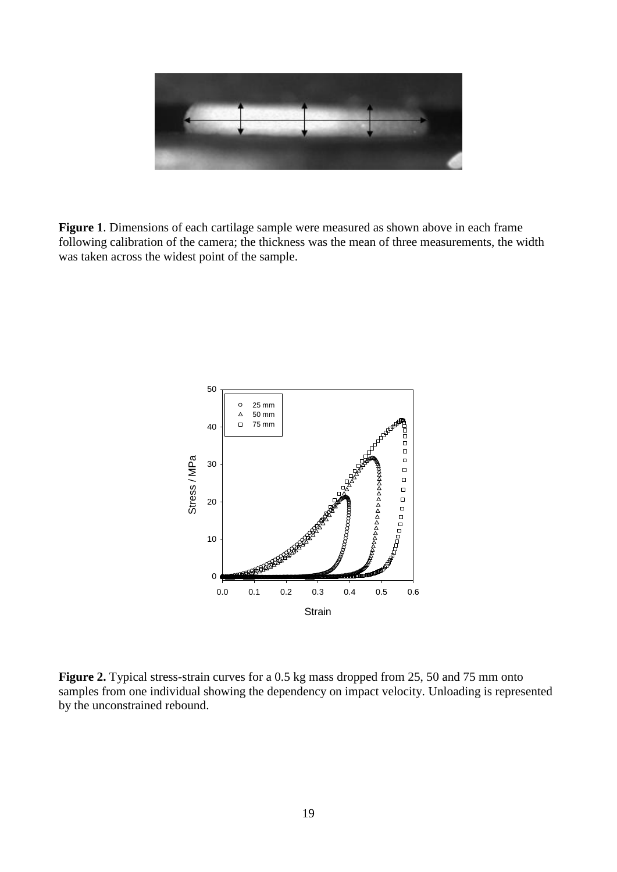

**Figure 1**. Dimensions of each cartilage sample were measured as shown above in each frame following calibration of the camera; the thickness was the mean of three measurements, the width was taken across the widest point of the sample.



Figure 2. Typical stress-strain curves for a 0.5 kg mass dropped from 25, 50 and 75 mm onto samples from one individual showing the dependency on impact velocity. Unloading is represented by the unconstrained rebound.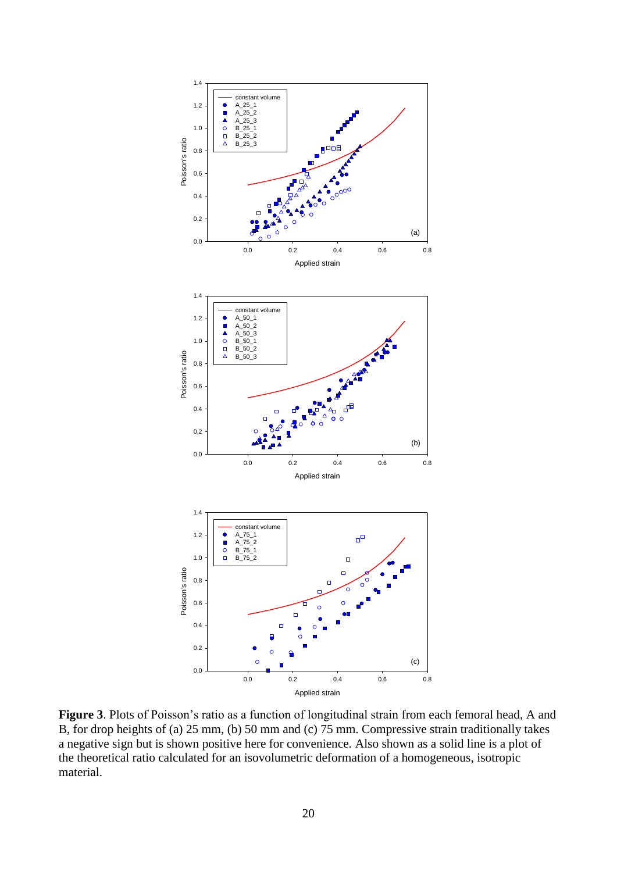

**Figure 3**. Plots of Poisson's ratio as a function of longitudinal strain from each femoral head, A and B, for drop heights of (a) 25 mm, (b) 50 mm and (c) 75 mm. Compressive strain traditionally takes a negative sign but is shown positive here for convenience. Also shown as a solid line is a plot of the theoretical ratio calculated for an isovolumetric deformation of a homogeneous, isotropic material.